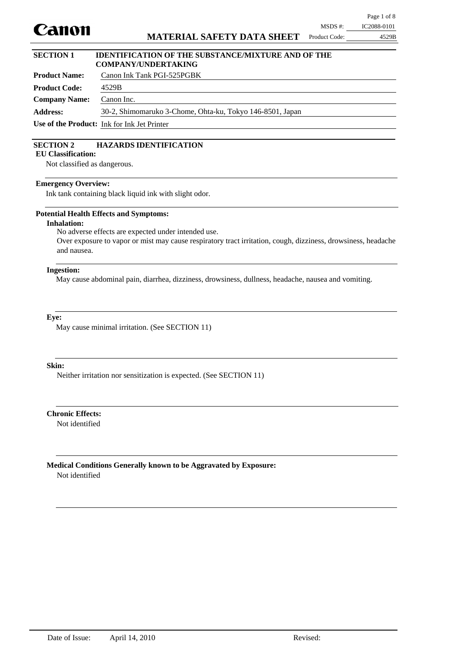

#### **Product Name:** Canon Ink Tank PGI-525PGBK **SECTION 1 IDENTIFICATION OF THE SUBSTANCE/MIXTURE AND OF THE COMPANY/UNDERTAKING**

| - Product Name: 1    | Canon ink Tank Pul-323PubN                                |
|----------------------|-----------------------------------------------------------|
| <b>Product Code:</b> | 4529B                                                     |
| <b>Company Name:</b> | Canon Inc.                                                |
| <b>Address:</b>      | 30-2, Shimomaruko 3-Chome, Ohta-ku, Tokyo 146-8501, Japan |
|                      | <b>Use of the Product:</b> Ink for Ink Jet Printer        |

## **SECTION 2 HAZARDS IDENTIFICATION**

**EU Classification:**

Not classified as dangerous.

#### **Emergency Overview:**

Ink tank containing black liquid ink with slight odor.

#### **Potential Health Effects and Symptoms:**

**Inhalation:**

No adverse effects are expected under intended use.

Over exposure to vapor or mist may cause respiratory tract irritation, cough, dizziness, drowsiness, headache and nausea.

#### **Ingestion:**

May cause abdominal pain, diarrhea, dizziness, drowsiness, dullness, headache, nausea and vomiting.

### **Eye:**

May cause minimal irritation. (See SECTION 11)

#### **Skin:**

Neither irritation nor sensitization is expected. (See SECTION 11)

Not identified **Chronic Effects:**

Not identified **Medical Conditions Generally known to be Aggravated by Exposure:**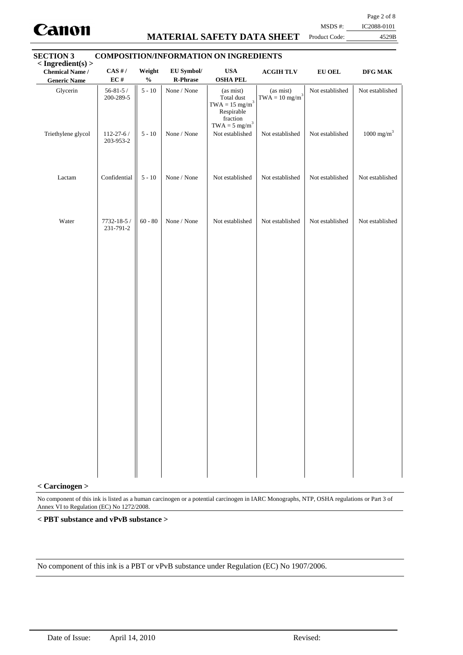

## **MATERIAL SAFETY DATA SHEET**

Page 2 of 8

MSDS #: IC2088-0101

# Product Code: 4529B **SECTION 3 COMPOSITION/INFORMATION ON INGREDIENTS**

| $<$ Ingredient(s) $>$<br><b>Chemical Name /</b><br><b>Generic Name</b> | $CAS$ #/<br>$\mathbf{EC}$ #  | Weight<br>$\mathbf{O}_\mathbf{0}'$ | EU Symbol/<br>R-Phrase | $\mathbf{USA}$<br><b>OSHA PEL</b>                                                                                      | $\bf ACGIH\, TLV$                         | ${\bf EU}$ OEL  | $\bf{DFG~MAK}$           |
|------------------------------------------------------------------------|------------------------------|------------------------------------|------------------------|------------------------------------------------------------------------------------------------------------------------|-------------------------------------------|-----------------|--------------------------|
| Glycerin                                                               | $56 - 81 - 5/$<br>200-289-5  | $5 - 10$                           | None / None            | (as mist)<br>Total dust<br>$\text{TWA}=15 \text{ mg/m}^3$<br>Respirable<br>fraction<br>$\text{TWA} = 5 \text{ mg/m}^3$ | (as mist)<br>$TWA = 10$ mg/m <sup>3</sup> | Not established | Not established          |
| Triethylene glycol                                                     | $112 - 27 - 6/$<br>203-953-2 | $5 - 10$                           | None / None            | Not established                                                                                                        | Not established                           | Not established | $1000$ mg/m <sup>3</sup> |
| Lactam                                                                 | Confidential                 | $5$ - $10\,$                       | None / None            | Not established                                                                                                        | Not established                           | Not established | Not established          |
| Water                                                                  | 7732-18-5 /<br>231-791-2     | $60 - 80$                          | None / None            | Not established                                                                                                        | Not established                           | Not established | Not established          |
|                                                                        |                              |                                    |                        |                                                                                                                        |                                           |                 |                          |
|                                                                        |                              |                                    |                        |                                                                                                                        |                                           |                 |                          |
|                                                                        |                              |                                    |                        |                                                                                                                        |                                           |                 |                          |
|                                                                        |                              |                                    |                        |                                                                                                                        |                                           |                 |                          |
|                                                                        |                              |                                    |                        |                                                                                                                        |                                           |                 |                          |
|                                                                        |                              |                                    |                        |                                                                                                                        |                                           |                 |                          |

#### **< Carcinogen >**

No component of this ink is listed as a human carcinogen or a potential carcinogen in IARC Monographs, NTP, OSHA regulations or Part 3 of Annex VI to Regulation (EC) No 1272/2008.

#### **< PBT substance and vPvB substance >**

No component of this ink is a PBT or vPvB substance under Regulation (EC) No 1907/2006.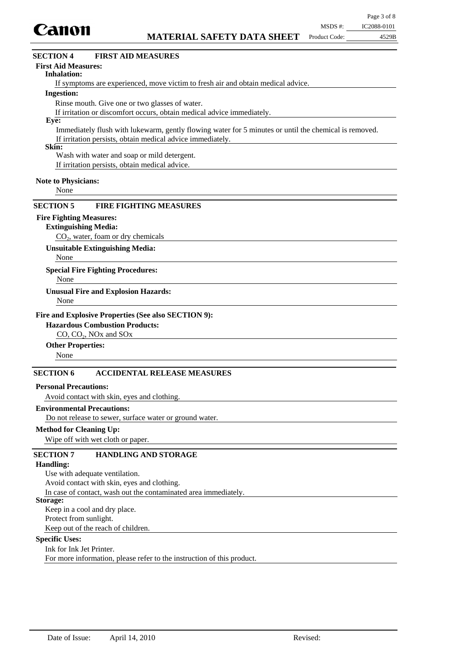

# $CO<sub>2</sub>$ , water, foam or dry chemicals **Extinguishing Media:** None **Special Fire Fighting Procedures:** None **Unusual Fire and Explosion Hazards:** CO, CO<sub>2</sub>, NO<sub>x</sub> and SO<sub>x</sub> **Hazardous Combustion Products:** None **Other Properties:** Avoid contact with skin, eyes and clothing. **Personal Precautions:** Do not release to sewer, surface water or ground water. **Environmental Precautions:** Wipe off with wet cloth or paper. **Method for Cleaning Up: Fire and Explosive Properties (See also SECTION 9): Unsuitable Extinguishing Media:** None **SECTION 6 ACCIDENTAL RELEASE MEASURES SECTION 5 FIRE FIGHTING MEASURES** Use with adequate ventilation. Avoid contact with skin, eyes and clothing. In case of contact, wash out the contaminated area immediately. **Handling: SECTION 7 HANDLING AND STORAGE** If symptoms are experienced, move victim to fresh air and obtain medical advice. **Inhalation:** Rinse mouth. Give one or two glasses of water. If irritation or discomfort occurs, obtain medical advice immediately. **Ingestion:** Immediately flush with lukewarm, gently flowing water for 5 minutes or until the chemical is removed. If irritation persists, obtain medical advice immediately. **Eye: Note to Physicians: First Aid Measures: SECTION 4 FIRST AID MEASURES** None **Skin:** Wash with water and soap or mild detergent. If irritation persists, obtain medical advice. **Fire Fighting Measures:**

#### **Storage:**

Keep in a cool and dry place.

Protect from sunlight.

Keep out of the reach of children.

## **Specific Uses:**

Ink for Ink Jet Printer. For more information, please refer to the instruction of this product.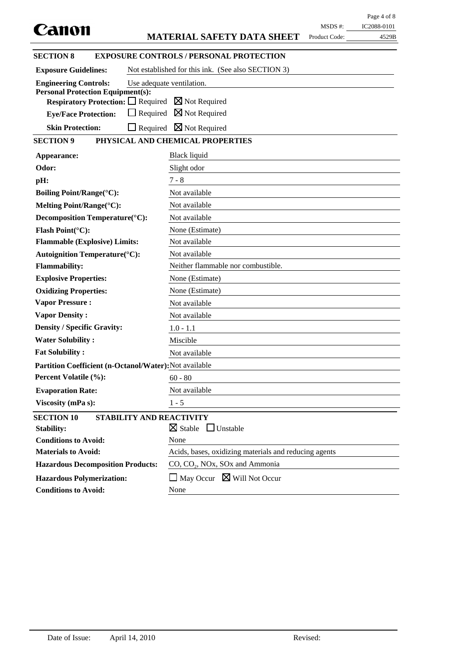|                                                                                                                     |                                                       |               | Page 4 of 8 |
|---------------------------------------------------------------------------------------------------------------------|-------------------------------------------------------|---------------|-------------|
| Canon                                                                                                               |                                                       | MSDS #:       | IC2088-0101 |
|                                                                                                                     | <b>MATERIAL SAFETY DATA SHEET</b>                     | Product Code: | 4529B       |
| <b>SECTION 8</b>                                                                                                    | <b>EXPOSURE CONTROLS / PERSONAL PROTECTION</b>        |               |             |
| <b>Exposure Guidelines:</b>                                                                                         | Not established for this ink. (See also SECTION 3)    |               |             |
| <b>Engineering Controls:</b>                                                                                        | Use adequate ventilation.                             |               |             |
| <b>Personal Protection Equipment(s):</b><br><b>Respiratory Protection:</b> $\Box$ Required $\boxtimes$ Not Required |                                                       |               |             |
| $\Box$ Required                                                                                                     | $\boxtimes$ Not Required                              |               |             |
| <b>Eye/Face Protection:</b>                                                                                         |                                                       |               |             |
| <b>Skin Protection:</b><br>$\Box$ Required                                                                          | $\boxtimes$ Not Required                              |               |             |
| <b>SECTION 9</b>                                                                                                    | PHYSICAL AND CHEMICAL PROPERTIES                      |               |             |
| Appearance:                                                                                                         | Black liquid                                          |               |             |
| Odor:                                                                                                               | Slight odor                                           |               |             |
| pH:                                                                                                                 | $7 - 8$                                               |               |             |
| <b>Boiling Point/Range(°C):</b>                                                                                     | Not available                                         |               |             |
| Melting Point/Range(°C):                                                                                            | Not available                                         |               |             |
| Decomposition Temperature(°C):                                                                                      | Not available                                         |               |             |
| Flash Point(°C):                                                                                                    | None (Estimate)                                       |               |             |
| <b>Flammable (Explosive) Limits:</b>                                                                                | Not available                                         |               |             |
| <b>Autoignition Temperature(°C):</b>                                                                                | Not available                                         |               |             |
| <b>Flammability:</b>                                                                                                | Neither flammable nor combustible.                    |               |             |
| <b>Explosive Properties:</b>                                                                                        | None (Estimate)                                       |               |             |
| <b>Oxidizing Properties:</b>                                                                                        | None (Estimate)                                       |               |             |
| <b>Vapor Pressure:</b>                                                                                              | Not available                                         |               |             |
| <b>Vapor Density:</b>                                                                                               | Not available                                         |               |             |
| <b>Density / Specific Gravity:</b>                                                                                  | $1.0 - 1.1$                                           |               |             |
| <b>Water Solubility:</b>                                                                                            | Miscible                                              |               |             |
| <b>Fat Solubility:</b>                                                                                              | Not available                                         |               |             |
| Partition Coefficient (n-Octanol/Water): Not available                                                              |                                                       |               |             |
| Percent Volatile (%):                                                                                               | $60 - 80$                                             |               |             |
| <b>Evaporation Rate:</b>                                                                                            | Not available                                         |               |             |
| Viscosity (mPa s):                                                                                                  | $1 - 5$                                               |               |             |
| <b>SECTION 10</b><br>STABILITY AND REACTIVITY                                                                       |                                                       |               |             |
| <b>Stability:</b>                                                                                                   | $\boxtimes$ Stable<br>$\Box$ Unstable                 |               |             |
| <b>Conditions to Avoid:</b>                                                                                         | None                                                  |               |             |
| <b>Materials to Avoid:</b>                                                                                          | Acids, bases, oxidizing materials and reducing agents |               |             |
| <b>Hazardous Decomposition Products:</b>                                                                            | $CO$ , $CO2$ , NOx, SOx and Ammonia                   |               |             |
| <b>Hazardous Polymerization:</b>                                                                                    | $\Box$ May Occur $\boxtimes$ Will Not Occur           |               |             |
| <b>Conditions to Avoid:</b>                                                                                         | None                                                  |               |             |
|                                                                                                                     |                                                       |               |             |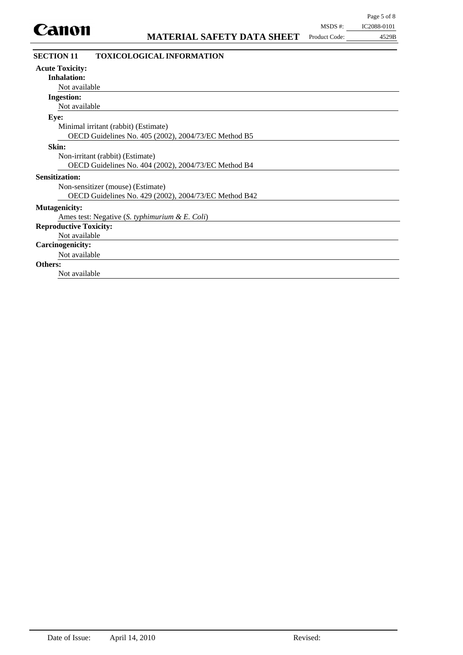| MSDS #:       | IC2088-0101 |
|---------------|-------------|
| Product Code: | 4529B       |

| <b>SECTION 11</b>             | <b>TOXICOLOGICAL INFORMATION</b>                      |  |
|-------------------------------|-------------------------------------------------------|--|
| <b>Acute Toxicity:</b>        |                                                       |  |
| <b>Inhalation:</b>            |                                                       |  |
| Not available                 |                                                       |  |
| <b>Ingestion:</b>             |                                                       |  |
| Not available                 |                                                       |  |
| Eye:                          |                                                       |  |
|                               | Minimal irritant (rabbit) (Estimate)                  |  |
|                               | OECD Guidelines No. 405 (2002), 2004/73/EC Method B5  |  |
| Skin:                         |                                                       |  |
|                               | Non-irritant (rabbit) (Estimate)                      |  |
|                               | OECD Guidelines No. 404 (2002), 2004/73/EC Method B4  |  |
| <b>Sensitization:</b>         |                                                       |  |
|                               | Non-sensitizer (mouse) (Estimate)                     |  |
|                               | OECD Guidelines No. 429 (2002), 2004/73/EC Method B42 |  |
| <b>Mutagenicity:</b>          |                                                       |  |
|                               | Ames test: Negative (S. typhimurium & E. Coli)        |  |
| <b>Reproductive Toxicity:</b> |                                                       |  |
| Not available                 |                                                       |  |
| <b>Carcinogenicity:</b>       |                                                       |  |
| Not available                 |                                                       |  |
| Others:                       |                                                       |  |
| Not available                 |                                                       |  |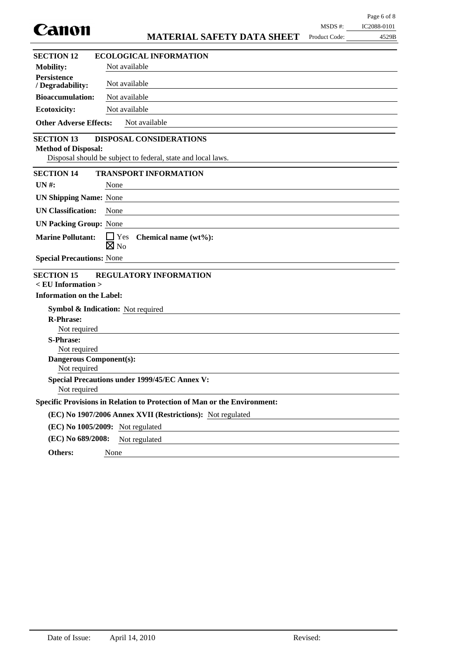| Canon                                                                                                                                      |               |             |
|--------------------------------------------------------------------------------------------------------------------------------------------|---------------|-------------|
|                                                                                                                                            | MSDS #:       | IC2088-0101 |
| <b>MATERIAL SAFETY DATA SHEET</b>                                                                                                          | Product Code: | 4529B       |
| <b>SECTION 12</b><br><b>ECOLOGICAL INFORMATION</b>                                                                                         |               |             |
| <b>Mobility:</b><br>Not available                                                                                                          |               |             |
| <b>Persistence</b><br>Not available<br>/ Degradability:                                                                                    |               |             |
| <b>Bioaccumulation:</b><br>Not available                                                                                                   |               |             |
| Not available<br><b>Ecotoxicity:</b>                                                                                                       |               |             |
| <b>Other Adverse Effects:</b><br>Not available                                                                                             |               |             |
| <b>SECTION 13</b><br>DISPOSAL CONSIDERATIONS<br><b>Method of Disposal:</b><br>Disposal should be subject to federal, state and local laws. |               |             |
| <b>SECTION 14</b><br><b>TRANSPORT INFORMATION</b>                                                                                          |               |             |
| $UN#$ :<br>None<br>the control of the control of the control of the control of the control of the control of                               |               |             |
| <b>UN Shipping Name: None</b>                                                                                                              |               |             |
| <b>UN Classification:</b><br><b>None</b>                                                                                                   |               |             |
| <b>UN Packing Group: None</b>                                                                                                              |               |             |
| <b>Marine Pollutant:</b><br>$\Box$ Yes Chemical name (wt%):<br>$\boxtimes$ No                                                              |               |             |
| <b>Special Precautions: None</b>                                                                                                           |               |             |
| <b>SECTION 15</b><br><b>REGULATORY INFORMATION</b>                                                                                         |               |             |
| $\langle$ EU Information $\rangle$<br><b>Information on the Label:</b>                                                                     |               |             |
|                                                                                                                                            |               |             |
| <b>Symbol &amp; Indication:</b> Not required<br><b>R-Phrase:</b>                                                                           |               |             |
| Not required                                                                                                                               |               |             |
| <b>S-Phrase:</b>                                                                                                                           |               |             |
| Not required                                                                                                                               |               |             |
| <b>Dangerous Component(s):</b><br>Not required                                                                                             |               |             |
| <b>Special Precautions under 1999/45/EC Annex V:</b><br>Not required                                                                       |               |             |
| Specific Provisions in Relation to Protection of Man or the Environment:                                                                   |               |             |
| (EC) No 1907/2006 Annex XVII (Restrictions): Not regulated                                                                                 |               |             |
| (EC) No 1005/2009: Not regulated                                                                                                           |               |             |
| (EC) No 689/2008:<br>Not regulated                                                                                                         |               |             |
| Others:<br>None                                                                                                                            |               |             |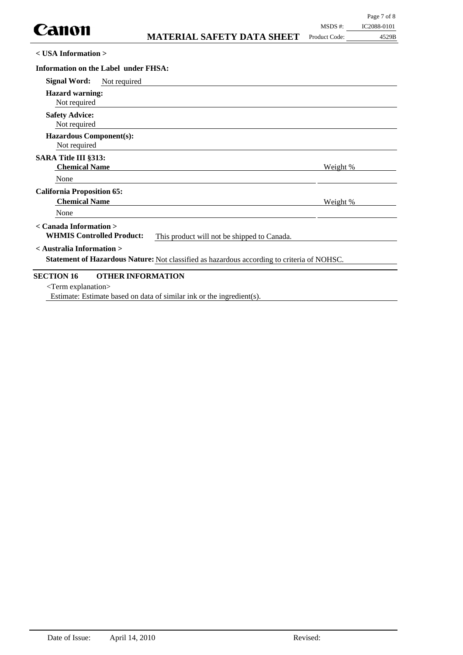**< USA Information >**

| Information on the Label under FHSA:                                                                                           |                 |
|--------------------------------------------------------------------------------------------------------------------------------|-----------------|
| <b>Signal Word:</b><br>Not required                                                                                            |                 |
| <b>Hazard warning:</b><br>Not required                                                                                         |                 |
| <b>Safety Advice:</b><br>Not required                                                                                          |                 |
| <b>Hazardous Component(s):</b><br>Not required                                                                                 |                 |
| <b>SARA Title III §313:</b><br><b>Chemical Name</b>                                                                            | <u>Weight %</u> |
| None                                                                                                                           |                 |
| <b>California Proposition 65:</b><br><b>Chemical Name</b><br>None                                                              | Weight %        |
| < Canada Information ><br><b>WHMIS Controlled Product:</b><br>This product will not be shipped to Canada.                      |                 |
| $\leq$ Australia Information $>$<br>Statement of Hazardous Nature: Not classified as hazardous according to criteria of NOHSC. |                 |
| <b>SECTION 16</b><br><b>OTHER INFORMATION</b><br>$\le$ Term explanation $>$                                                    |                 |

Estimate: Estimate based on data of similar ink or the ingredient(s).